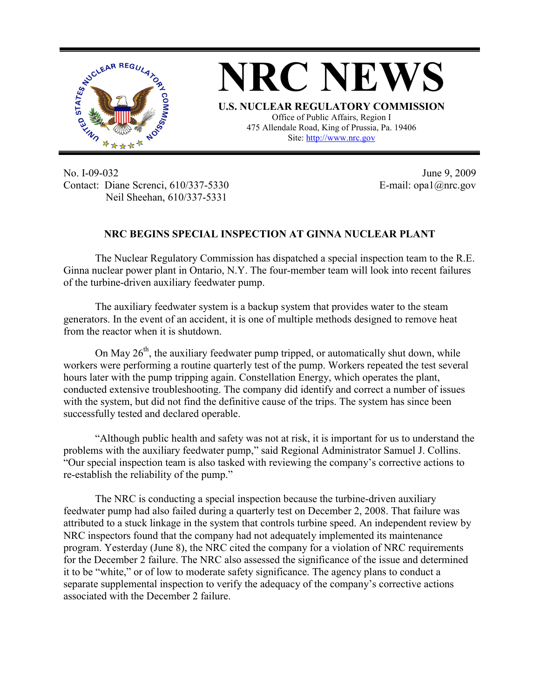

**NRC NEWS U.S. NUCLEAR REGULATORY COMMISSION** Office of Public Affairs, Region I 475 Allendale Road, King of Prussia, Pa. 19406 Site: http://www.nrc.gov

No. I-09-032 Contact: Diane Screnci, 610/337-5330 Neil Sheehan, 610/337-5331

June 9, 2009 E-mail: opa1@nrc.gov

## **NRC BEGINS SPECIAL INSPECTION AT GINNA NUCLEAR PLANT**

 The Nuclear Regulatory Commission has dispatched a special inspection team to the R.E. Ginna nuclear power plant in Ontario, N.Y. The four-member team will look into recent failures of the turbine-driven auxiliary feedwater pump.

 The auxiliary feedwater system is a backup system that provides water to the steam generators. In the event of an accident, it is one of multiple methods designed to remove heat from the reactor when it is shutdown.

On May  $26<sup>th</sup>$ , the auxiliary feedwater pump tripped, or automatically shut down, while workers were performing a routine quarterly test of the pump. Workers repeated the test several hours later with the pump tripping again. Constellation Energy, which operates the plant, conducted extensive troubleshooting. The company did identify and correct a number of issues with the system, but did not find the definitive cause of the trips. The system has since been successfully tested and declared operable.

 "Although public health and safety was not at risk, it is important for us to understand the problems with the auxiliary feedwater pump," said Regional Administrator Samuel J. Collins. "Our special inspection team is also tasked with reviewing the company's corrective actions to re-establish the reliability of the pump."

 The NRC is conducting a special inspection because the turbine-driven auxiliary feedwater pump had also failed during a quarterly test on December 2, 2008. That failure was attributed to a stuck linkage in the system that controls turbine speed. An independent review by NRC inspectors found that the company had not adequately implemented its maintenance program. Yesterday (June 8), the NRC cited the company for a violation of NRC requirements for the December 2 failure. The NRC also assessed the significance of the issue and determined it to be "white," or of low to moderate safety significance. The agency plans to conduct a separate supplemental inspection to verify the adequacy of the company's corrective actions associated with the December 2 failure.